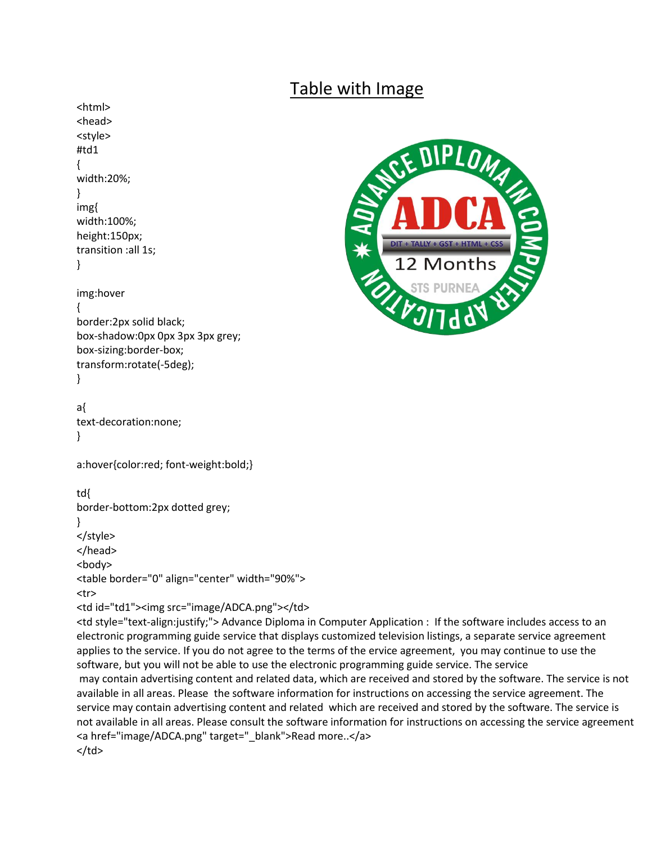## Table with Image

<html> <head> <style> #td1 { width:20%; } img{ width:100%; height:150px; transition :all 1s; } img:hover { border:2px solid black; box-shadow:0px 0px 3px 3px grey; box-sizing:border-box; transform:rotate(-5deg); } a{ text-decoration:none; } a:hover{color:red; font-weight:bold;} td{ border-bottom:2px dotted grey; } </style> </head> <body> <table border="0" align="center" width="90%"> <tr> <td id="td1"><img src="image/ADCA.png"></td> <td style="text-align:justify;"> Advance Diploma in Computer Application : If the software includes access to an electronic programming guide service that displays customized television listings, a separate service agreement applies to the service. If you do not agree to the terms of the ervice agreement, you may continue to use the software, but you will not be able to use the electronic programming guide service. The service may contain advertising content and related data, which are received and stored by the software. The service is not available in all areas. Please the software information for instructions on accessing the service agreement. The service may contain advertising content and related which are received and stored by the software. The service is not available in all areas. Please consult the software information for instructions on accessing the service agreement <a href="image/ADCA.png" target="\_blank">Read more..</a>  $<$ /td>